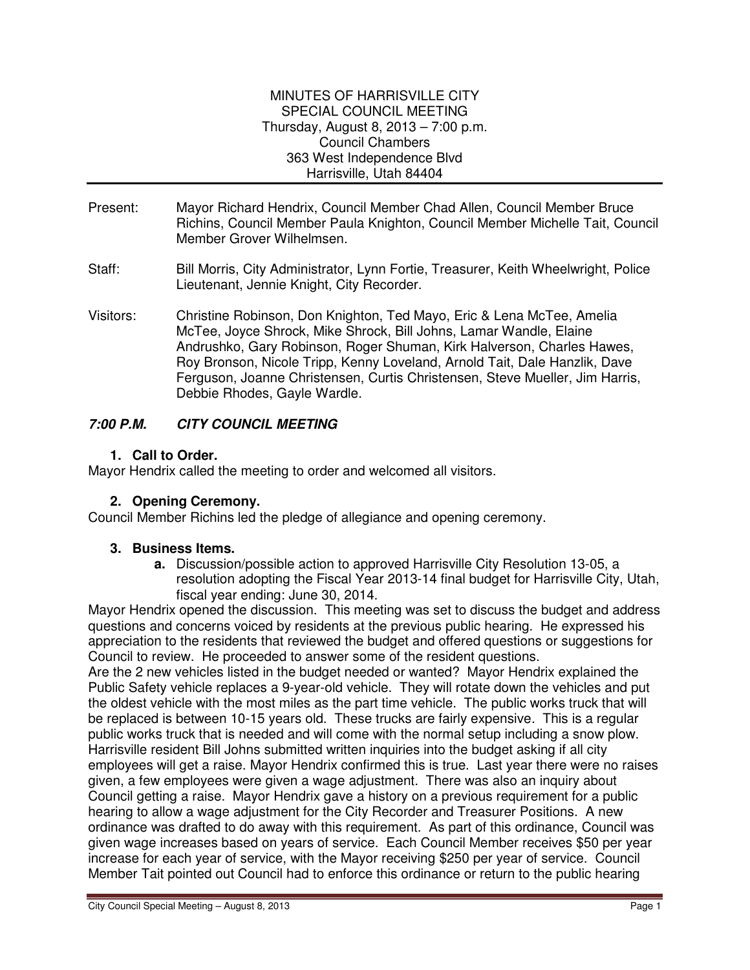#### MINUTES OF HARRISVILLE CITY SPECIAL COUNCIL MEETING Thursday, August 8, 2013 – 7:00 p.m. Council Chambers 363 West Independence Blvd Harrisville, Utah 84404

- Present: Mayor Richard Hendrix, Council Member Chad Allen, Council Member Bruce Richins, Council Member Paula Knighton, Council Member Michelle Tait, Council Member Grover Wilhelmsen.
- Staff: Bill Morris, City Administrator, Lynn Fortie, Treasurer, Keith Wheelwright, Police Lieutenant, Jennie Knight, City Recorder.
- Visitors: Christine Robinson, Don Knighton, Ted Mayo, Eric & Lena McTee, Amelia McTee, Joyce Shrock, Mike Shrock, Bill Johns, Lamar Wandle, Elaine Andrushko, Gary Robinson, Roger Shuman, Kirk Halverson, Charles Hawes, Roy Bronson, Nicole Tripp, Kenny Loveland, Arnold Tait, Dale Hanzlik, Dave Ferguson, Joanne Christensen, Curtis Christensen, Steve Mueller, Jim Harris, Debbie Rhodes, Gayle Wardle.

# **7:00 P.M. CITY COUNCIL MEETING**

#### **1. Call to Order.**

Mayor Hendrix called the meeting to order and welcomed all visitors.

# **2. Opening Ceremony.**

Council Member Richins led the pledge of allegiance and opening ceremony.

# **3. Business Items.**

**a.** Discussion/possible action to approved Harrisville City Resolution 13-05, a resolution adopting the Fiscal Year 2013-14 final budget for Harrisville City, Utah, fiscal year ending: June 30, 2014.

Mayor Hendrix opened the discussion. This meeting was set to discuss the budget and address questions and concerns voiced by residents at the previous public hearing. He expressed his appreciation to the residents that reviewed the budget and offered questions or suggestions for Council to review. He proceeded to answer some of the resident questions.

Are the 2 new vehicles listed in the budget needed or wanted? Mayor Hendrix explained the Public Safety vehicle replaces a 9-year-old vehicle. They will rotate down the vehicles and put the oldest vehicle with the most miles as the part time vehicle. The public works truck that will be replaced is between 10-15 years old. These trucks are fairly expensive. This is a regular public works truck that is needed and will come with the normal setup including a snow plow. Harrisville resident Bill Johns submitted written inquiries into the budget asking if all city employees will get a raise. Mayor Hendrix confirmed this is true. Last year there were no raises given, a few employees were given a wage adjustment. There was also an inquiry about Council getting a raise. Mayor Hendrix gave a history on a previous requirement for a public hearing to allow a wage adjustment for the City Recorder and Treasurer Positions. A new ordinance was drafted to do away with this requirement. As part of this ordinance, Council was given wage increases based on years of service. Each Council Member receives \$50 per year increase for each year of service, with the Mayor receiving \$250 per year of service. Council Member Tait pointed out Council had to enforce this ordinance or return to the public hearing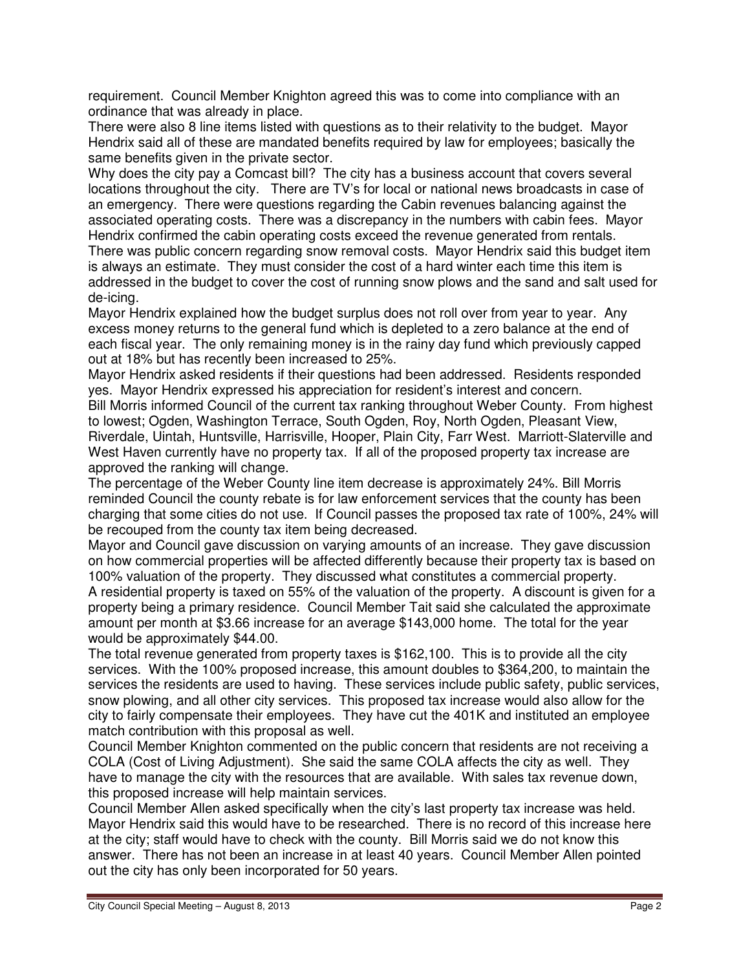requirement. Council Member Knighton agreed this was to come into compliance with an ordinance that was already in place.

There were also 8 line items listed with questions as to their relativity to the budget. Mayor Hendrix said all of these are mandated benefits required by law for employees; basically the same benefits given in the private sector.

Why does the city pay a Comcast bill? The city has a business account that covers several locations throughout the city. There are TV's for local or national news broadcasts in case of an emergency. There were questions regarding the Cabin revenues balancing against the associated operating costs. There was a discrepancy in the numbers with cabin fees. Mayor Hendrix confirmed the cabin operating costs exceed the revenue generated from rentals.

There was public concern regarding snow removal costs. Mayor Hendrix said this budget item is always an estimate. They must consider the cost of a hard winter each time this item is addressed in the budget to cover the cost of running snow plows and the sand and salt used for de-icing.

Mayor Hendrix explained how the budget surplus does not roll over from year to year. Any excess money returns to the general fund which is depleted to a zero balance at the end of each fiscal year. The only remaining money is in the rainy day fund which previously capped out at 18% but has recently been increased to 25%.

Mayor Hendrix asked residents if their questions had been addressed. Residents responded yes. Mayor Hendrix expressed his appreciation for resident's interest and concern.

Bill Morris informed Council of the current tax ranking throughout Weber County. From highest to lowest; Ogden, Washington Terrace, South Ogden, Roy, North Ogden, Pleasant View, Riverdale, Uintah, Huntsville, Harrisville, Hooper, Plain City, Farr West. Marriott-Slaterville and West Haven currently have no property tax. If all of the proposed property tax increase are approved the ranking will change.

The percentage of the Weber County line item decrease is approximately 24%. Bill Morris reminded Council the county rebate is for law enforcement services that the county has been charging that some cities do not use. If Council passes the proposed tax rate of 100%, 24% will be recouped from the county tax item being decreased.

Mayor and Council gave discussion on varying amounts of an increase. They gave discussion on how commercial properties will be affected differently because their property tax is based on 100% valuation of the property. They discussed what constitutes a commercial property. A residential property is taxed on 55% of the valuation of the property. A discount is given for a

property being a primary residence. Council Member Tait said she calculated the approximate amount per month at \$3.66 increase for an average \$143,000 home. The total for the year would be approximately \$44.00.

The total revenue generated from property taxes is \$162,100. This is to provide all the city services. With the 100% proposed increase, this amount doubles to \$364,200, to maintain the services the residents are used to having. These services include public safety, public services, snow plowing, and all other city services. This proposed tax increase would also allow for the city to fairly compensate their employees. They have cut the 401K and instituted an employee match contribution with this proposal as well.

Council Member Knighton commented on the public concern that residents are not receiving a COLA (Cost of Living Adjustment). She said the same COLA affects the city as well. They have to manage the city with the resources that are available. With sales tax revenue down, this proposed increase will help maintain services.

Council Member Allen asked specifically when the city's last property tax increase was held. Mayor Hendrix said this would have to be researched. There is no record of this increase here at the city; staff would have to check with the county. Bill Morris said we do not know this answer. There has not been an increase in at least 40 years. Council Member Allen pointed out the city has only been incorporated for 50 years.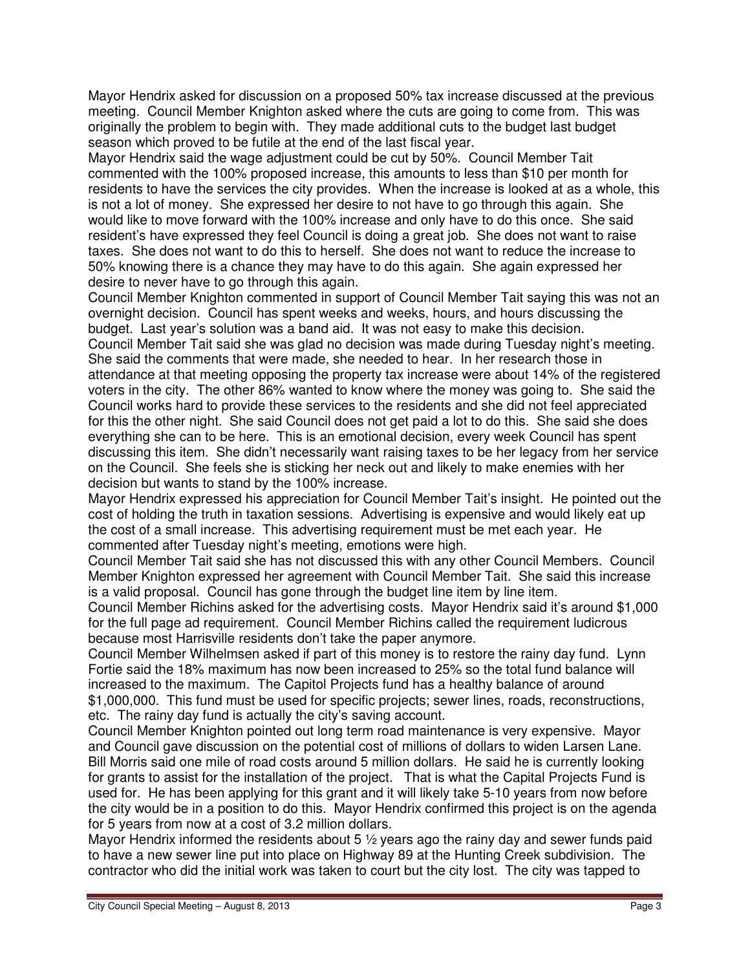Mayor Hendrix asked for discussion on a proposed 50% tax increase discussed at the previous meeting. Council Member Knighton asked where the cuts are going to come from. This was originally the problem to begin with. They made additional cuts to the budget last budget season which proved to be futile at the end of the last fiscal year.

Mayor Hendrix said the wage adjustment could be cut by 50%. Council Member Tait commented with the 100% proposed increase, this amounts to less than \$10 per month for residents to have the services the city provides. When the increase is looked at as a whole, this is not a lot of money. She expressed her desire to not have to go through this again. She would like to move forward with the 100% increase and only have to do this once. She said resident's have expressed they feel Council is doing a great job. She does not want to raise taxes. She does not want to do this to herself. She does not want to reduce the increase to 50% knowing there is a chance they may have to do this again. She again expressed her desire to never have to go through this again.

Council Member Knighton commented in support of Council Member Tait saying this was not an overnight decision. Council has spent weeks and weeks, hours, and hours discussing the budget. Last year's solution was a band aid. It was not easy to make this decision. Council Member Tait said she was glad no decision was made during Tuesday night's meeting. She said the comments that were made, she needed to hear. In her research those in attendance at that meeting opposing the property tax increase were about 14% of the registered voters in the city. The other 86% wanted to know where the money was going to. She said the Council works hard to provide these services to the residents and she did not feel appreciated for this the other night. She said Council does not get paid a lot to do this. She said she does everything she can to be here. This is an emotional decision, every week Council has spent discussing this item. She didn't necessarily want raising taxes to be her legacy from her service on the Council. She feels she is sticking her neck out and likely to make enemies with her decision but wants to stand by the 100% increase.

Mayor Hendrix expressed his appreciation for Council Member Tait's insight. He pointed out the cost of holding the truth in taxation sessions. Advertising is expensive and would likely eat up the cost of a small increase. This advertising requirement must be met each year. He commented after Tuesday night's meeting, emotions were high.

Council Member Tait said she has not discussed this with any other Council Members. Council Member Knighton expressed her agreement with Council Member Tait. She said this increase is a valid proposal. Council has gone through the budget line item by line item.

Council Member Richins asked for the advertising costs. Mayor Hendrix said it's around \$1,000 for the full page ad requirement. Council Member Richins called the requirement ludicrous because most Harrisville residents don't take the paper anymore.

Council Member Wilhelmsen asked if part of this money is to restore the rainy day fund. Lynn Fortie said the 18% maximum has now been increased to 25% so the total fund balance will increased to the maximum. The Capitol Projects fund has a healthy balance of around \$1,000,000. This fund must be used for specific projects; sewer lines, roads, reconstructions, etc. The rainy day fund is actually the city's saving account.

Council Member Knighton pointed out long term road maintenance is very expensive. Mayor and Council gave discussion on the potential cost of millions of dollars to widen Larsen Lane. Bill Morris said one mile of road costs around 5 million dollars. He said he is currently looking for grants to assist for the installation of the project. That is what the Capital Projects Fund is used for. He has been applying for this grant and it will likely take 5-10 years from now before the city would be in a position to do this. Mayor Hendrix confirmed this project is on the agenda for 5 years from now at a cost of 3.2 million dollars.

Mayor Hendrix informed the residents about 5  $\frac{1}{2}$  years ago the rainy day and sewer funds paid to have a new sewer line put into place on Highway 89 at the Hunting Creek subdivision. The contractor who did the initial work was taken to court but the city lost. The city was tapped to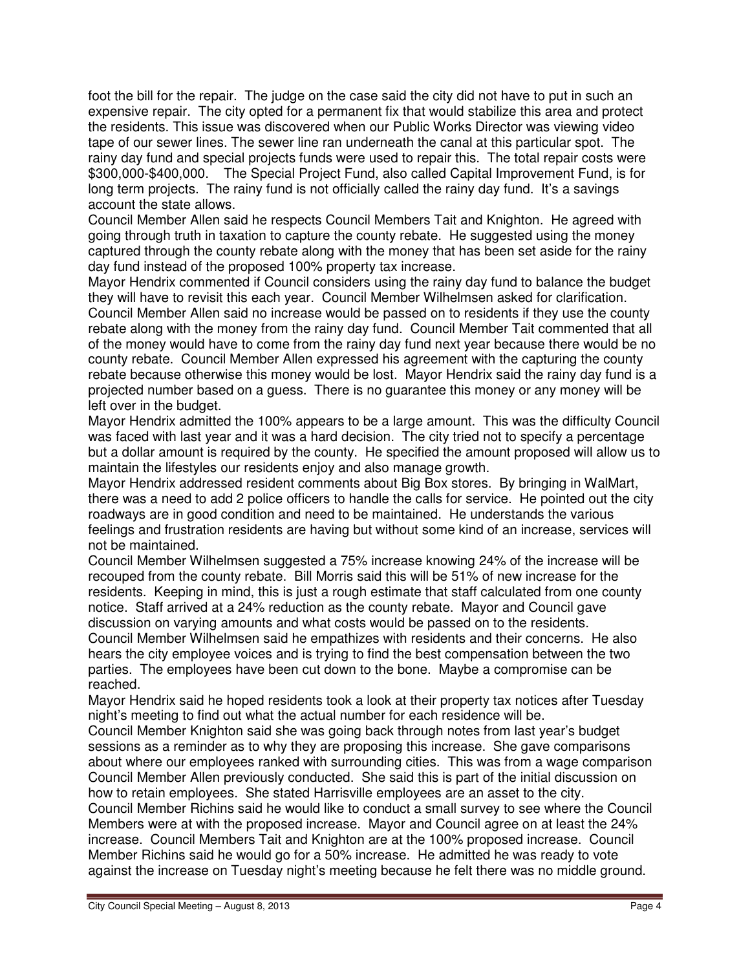foot the bill for the repair. The judge on the case said the city did not have to put in such an expensive repair. The city opted for a permanent fix that would stabilize this area and protect the residents. This issue was discovered when our Public Works Director was viewing video tape of our sewer lines. The sewer line ran underneath the canal at this particular spot. The rainy day fund and special projects funds were used to repair this. The total repair costs were \$300,000-\$400,000. The Special Project Fund, also called Capital Improvement Fund, is for long term projects. The rainy fund is not officially called the rainy day fund. It's a savings account the state allows.

Council Member Allen said he respects Council Members Tait and Knighton. He agreed with going through truth in taxation to capture the county rebate. He suggested using the money captured through the county rebate along with the money that has been set aside for the rainy day fund instead of the proposed 100% property tax increase.

Mayor Hendrix commented if Council considers using the rainy day fund to balance the budget they will have to revisit this each year. Council Member Wilhelmsen asked for clarification. Council Member Allen said no increase would be passed on to residents if they use the county rebate along with the money from the rainy day fund. Council Member Tait commented that all of the money would have to come from the rainy day fund next year because there would be no county rebate. Council Member Allen expressed his agreement with the capturing the county rebate because otherwise this money would be lost. Mayor Hendrix said the rainy day fund is a projected number based on a guess. There is no guarantee this money or any money will be left over in the budget.

Mayor Hendrix admitted the 100% appears to be a large amount. This was the difficulty Council was faced with last year and it was a hard decision. The city tried not to specify a percentage but a dollar amount is required by the county. He specified the amount proposed will allow us to maintain the lifestyles our residents enjoy and also manage growth.

Mayor Hendrix addressed resident comments about Big Box stores. By bringing in WalMart, there was a need to add 2 police officers to handle the calls for service. He pointed out the city roadways are in good condition and need to be maintained. He understands the various feelings and frustration residents are having but without some kind of an increase, services will not be maintained.

Council Member Wilhelmsen suggested a 75% increase knowing 24% of the increase will be recouped from the county rebate. Bill Morris said this will be 51% of new increase for the residents. Keeping in mind, this is just a rough estimate that staff calculated from one county notice. Staff arrived at a 24% reduction as the county rebate. Mayor and Council gave discussion on varying amounts and what costs would be passed on to the residents. Council Member Wilhelmsen said he empathizes with residents and their concerns. He also

hears the city employee voices and is trying to find the best compensation between the two parties. The employees have been cut down to the bone. Maybe a compromise can be reached.

Mayor Hendrix said he hoped residents took a look at their property tax notices after Tuesday night's meeting to find out what the actual number for each residence will be.

Council Member Knighton said she was going back through notes from last year's budget sessions as a reminder as to why they are proposing this increase. She gave comparisons about where our employees ranked with surrounding cities. This was from a wage comparison Council Member Allen previously conducted. She said this is part of the initial discussion on how to retain employees. She stated Harrisville employees are an asset to the city.

Council Member Richins said he would like to conduct a small survey to see where the Council Members were at with the proposed increase. Mayor and Council agree on at least the 24% increase. Council Members Tait and Knighton are at the 100% proposed increase. Council Member Richins said he would go for a 50% increase. He admitted he was ready to vote against the increase on Tuesday night's meeting because he felt there was no middle ground.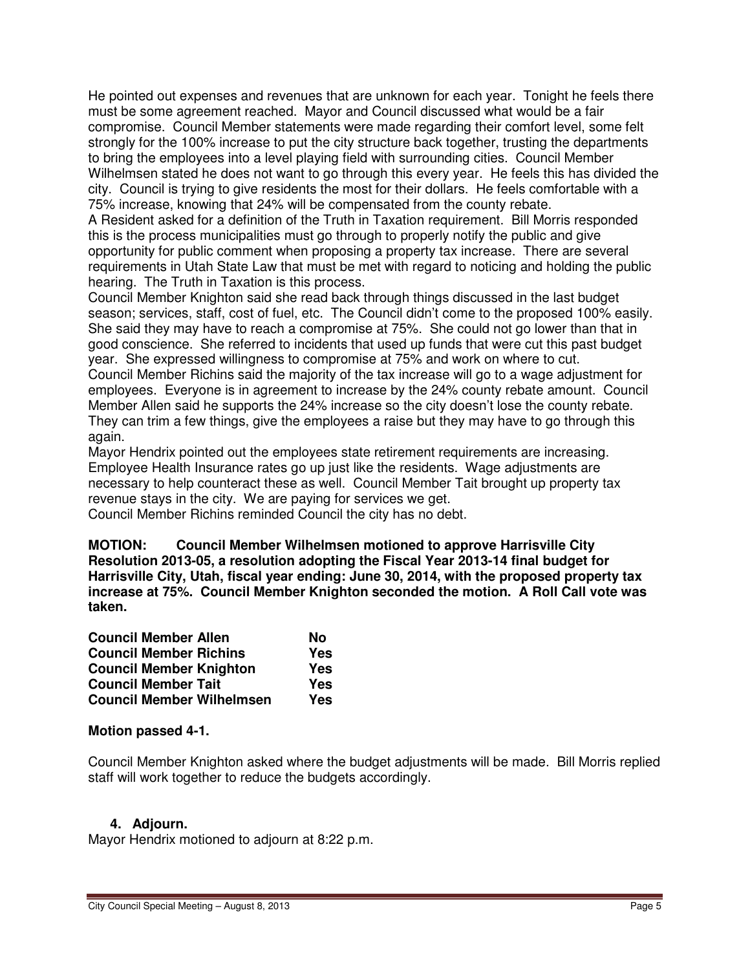He pointed out expenses and revenues that are unknown for each year. Tonight he feels there must be some agreement reached. Mayor and Council discussed what would be a fair compromise. Council Member statements were made regarding their comfort level, some felt strongly for the 100% increase to put the city structure back together, trusting the departments to bring the employees into a level playing field with surrounding cities. Council Member Wilhelmsen stated he does not want to go through this every year. He feels this has divided the city. Council is trying to give residents the most for their dollars. He feels comfortable with a 75% increase, knowing that 24% will be compensated from the county rebate.

A Resident asked for a definition of the Truth in Taxation requirement. Bill Morris responded this is the process municipalities must go through to properly notify the public and give opportunity for public comment when proposing a property tax increase. There are several requirements in Utah State Law that must be met with regard to noticing and holding the public hearing. The Truth in Taxation is this process.

Council Member Knighton said she read back through things discussed in the last budget season; services, staff, cost of fuel, etc. The Council didn't come to the proposed 100% easily. She said they may have to reach a compromise at 75%. She could not go lower than that in good conscience. She referred to incidents that used up funds that were cut this past budget year. She expressed willingness to compromise at 75% and work on where to cut. Council Member Richins said the majority of the tax increase will go to a wage adjustment for employees. Everyone is in agreement to increase by the 24% county rebate amount. Council Member Allen said he supports the 24% increase so the city doesn't lose the county rebate. They can trim a few things, give the employees a raise but they may have to go through this again.

Mayor Hendrix pointed out the employees state retirement requirements are increasing. Employee Health Insurance rates go up just like the residents. Wage adjustments are necessary to help counteract these as well. Council Member Tait brought up property tax revenue stays in the city. We are paying for services we get.

Council Member Richins reminded Council the city has no debt.

**MOTION: Council Member Wilhelmsen motioned to approve Harrisville City Resolution 2013-05, a resolution adopting the Fiscal Year 2013-14 final budget for Harrisville City, Utah, fiscal year ending: June 30, 2014, with the proposed property tax increase at 75%. Council Member Knighton seconded the motion. A Roll Call vote was taken.** 

| <b>Council Member Allen</b>      | No         |
|----------------------------------|------------|
| <b>Council Member Richins</b>    | Yes        |
| <b>Council Member Knighton</b>   | <b>Yes</b> |
| <b>Council Member Tait</b>       | Yes        |
| <b>Council Member Wilhelmsen</b> | Yes        |

#### **Motion passed 4-1.**

Council Member Knighton asked where the budget adjustments will be made. Bill Morris replied staff will work together to reduce the budgets accordingly.

# **4. Adjourn.**

Mayor Hendrix motioned to adjourn at 8:22 p.m.